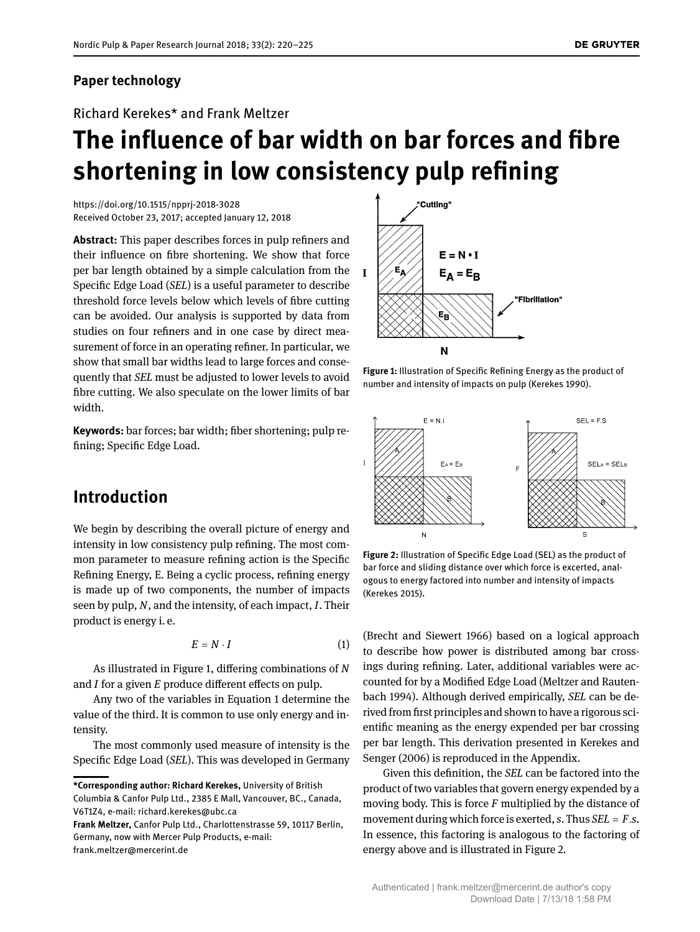### **Paper technology**

Richard Kerekes\* and Frank Meltzer

# **The influence of bar width on bar forces and fibre shortening in low consistency pulp refining**

<https://doi.org/10.1515/npprj-2018-3028> Received October 23, 2017; accepted January 12, 2018

**Abstract:** This paper describes forces in pulp refiners and their influence on fibre shortening. We show that force per bar length obtained by a simple calculation from the Specific Edge Load (*SEL*) is a useful parameter to describe threshold force levels below which levels of fibre cutting can be avoided. Our analysis is supported by data from studies on four refiners and in one case by direct measurement of force in an operating refiner. In particular, we show that small bar widths lead to large forces and consequently that *SEL* must be adjusted to lower levels to avoid fibre cutting. We also speculate on the lower limits of bar width.

**Keywords:** bar forces; bar width; fiber shortening; pulp refining; Specific Edge Load.

# **Introduction**

We begin by describing the overall picture of energy and intensity in low consistency pulp refining. The most common parameter to measure refining action is the Specific Refining Energy, E. Being a cyclic process, refining energy is made up of two components, the number of impacts seen by pulp, *N*, and the intensity, of each impact, *I*. Their product is energy i. e.

$$
E = N \cdot I \tag{1}
$$

As illustrated in Figure [1,](#page-0-0) differing combinations of *N* and *I* for a given *E* produce different effects on pulp.

Any two of the variables in Equation [1](#page-0-1) determine the value of the third. It is common to use only energy and intensity.

The most commonly used measure of intensity is the Specific Edge Load (*SEL*). This was developed in Germany

<span id="page-0-0"></span>

**Figure 1:** Illustration of Specific Refining Energy as the product of number and intensity of impacts on pulp (Kerekes [1990\)](#page-5-1).

<span id="page-0-2"></span>

**Figure 2:** Illustration of Specific Edge Load (SEL) as the product of bar force and sliding distance over which force is excerted, analogous to energy factored into number and intensity of impacts (Kerekes [2015\)](#page-5-2).

<span id="page-0-1"></span>(Brecht and Siewert [1966\)](#page-5-3) based on a logical approach to describe how power is distributed among bar crossings during refining. Later, additional variables were accounted for by a Modified Edge Load (Meltzer and Rautenbach [1994\)](#page-5-4). Although derived empirically, *SEL* can be derived from first principles and shown to have a rigorous scientific meaning as the energy expended per bar crossing per bar length. This derivation presented in Kerekes and Senger [\(2006\)](#page-5-5) is reproduced in the Appendix.

Given this definition, the *SEL* can be factored into the product of two variables that govern energy expended by a moving body. This is force *F* multiplied by the distance of movement during which force is exerted, *s*. Thus *SEL* = *F*.*s*. In essence, this factoring is analogous to the factoring of energy above and is illustrated in Figure [2.](#page-0-2)

**<sup>\*</sup>Corresponding author: Richard Kerekes,** University of British Columbia & Canfor Pulp Ltd., 2385 E Mall, Vancouver, BC., Canada, V6T1Z4, e-mail: [richard.kerekes@ubc.ca](mailto:richard.kerekes@ubc.ca)

**Frank Meltzer,** Canfor Pulp Ltd., Charlottenstrasse 59, 10117 Berlin, Germany, now with Mercer Pulp Products, e-mail: [frank.meltzer@mercerint.de](mailto:frank.meltzer@mercerint.de)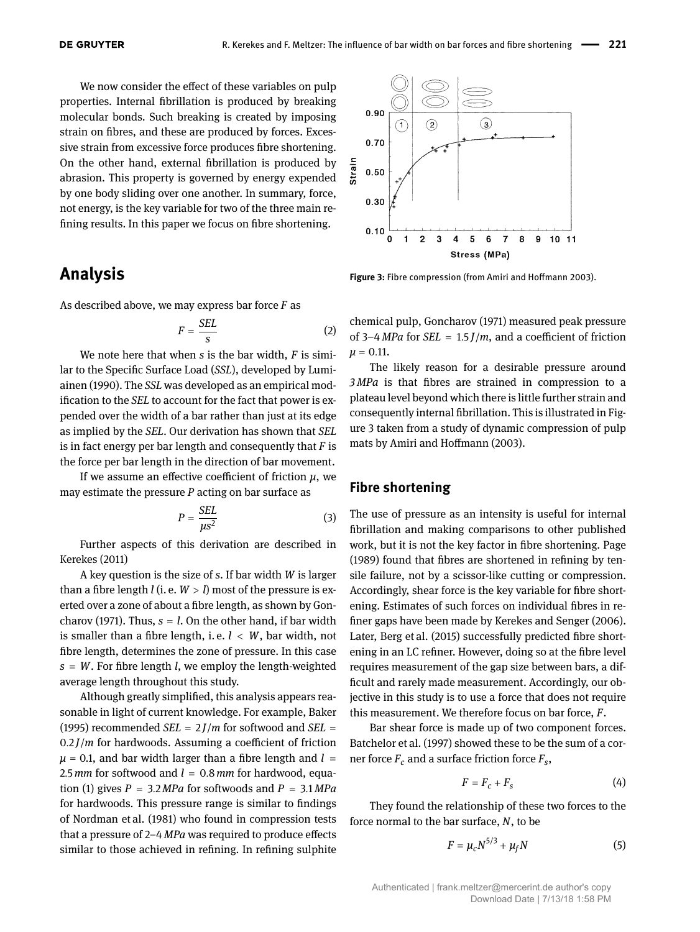We now consider the effect of these variables on pulp properties. Internal fibrillation is produced by breaking molecular bonds. Such breaking is created by imposing strain on fibres, and these are produced by forces. Excessive strain from excessive force produces fibre shortening. On the other hand, external fibrillation is produced by abrasion. This property is governed by energy expended by one body sliding over one another. In summary, force, not energy, is the key variable for two of the three main refining results. In this paper we focus on fibre shortening.

# **Analysis**

As described above, we may express bar force *F* as

$$
F = \frac{SEL}{s} \tag{2}
$$

We note here that when *s* is the bar width, *F* is similar to the Specific Surface Load (*SSL*), developed by Lumiainen [\(1990\)](#page-5-6). The *SSL* was developed as an empirical modification to the *SEL* to account for the fact that power is expended over the width of a bar rather than just at its edge as implied by the *SEL*. Our derivation has shown that *SEL* is in fact energy per bar length and consequently that *F* is the force per bar length in the direction of bar movement.

If we assume an effective coefficient of friction *μ*, we may estimate the pressure *P* acting on bar surface as

$$
P = \frac{SEL}{\mu s^2} \tag{3}
$$

Further aspects of this derivation are described in Kerekes [\(2011\)](#page-5-7)

A key question is the size of *s*. If bar width *W* is larger than a fibre length  $l$  (i. e.  $W > l$ ) most of the pressure is exerted over a zone of about a fibre length, as shown by Gon-charov [\(1971\)](#page-5-8). Thus,  $s = l$ . On the other hand, if bar width is smaller than a fibre length, i. e. *l* < *W*, bar width, not fibre length, determines the zone of pressure. In this case *s* = *W*. For fibre length *l*, we employ the length-weighted average length throughout this study.

Although greatly simplified, this analysis appears reasonable in light of current knowledge. For example, Baker [\(1995\)](#page-5-9) recommended *SEL* =  $2J/m$  for softwood and *SEL* = 0.2 *J*/*m* for hardwoods. Assuming a coefficient of friction  $\mu$  = 0.1, and bar width larger than a fibre length and  $l =$ 2.5  $mm$  for softwood and  $l = 0.8$   $mm$  for hardwood, equa-tion [\(1\)](#page-0-1) gives  $P = 3.2 MPa$  for softwoods and  $P = 3.1 MPa$ for hardwoods. This pressure range is similar to findings of Nordman et al. [\(1981\)](#page-5-10) who found in compression tests that a pressure of 2–4 *MPa* was required to produce effects similar to those achieved in refining. In refining sulphite

<span id="page-1-0"></span>

**Figure 3:** Fibre compression (from Amiri and Hoffmann [2003\)](#page-5-11).

<span id="page-1-1"></span>chemical pulp, Goncharov [\(1971\)](#page-5-8) measured peak pressure of 3–4 *MPa* for *SEL* = 1.5 *J*/*m*, and a coefficient of friction  $\mu = 0.11$ .

The likely reason for a desirable pressure around *3 MPa* is that fibres are strained in compression to a plateau level beyond which there is little further strain and consequently internal fibrillation. This is illustrated in Figure [3](#page-1-0) taken from a study of dynamic compression of pulp mats by Amiri and Hoffmann [\(2003\)](#page-5-11).

#### **Fibre shortening**

The use of pressure as an intensity is useful for internal fibrillation and making comparisons to other published work, but it is not the key factor in fibre shortening. Page [\(1989\)](#page-5-12) found that fibres are shortened in refining by tensile failure, not by a scissor-like cutting or compression. Accordingly, shear force is the key variable for fibre shortening. Estimates of such forces on individual fibres in refiner gaps have been made by Kerekes and Senger [\(2006\)](#page-5-5). Later, Berg et al. [\(2015\)](#page-5-13) successfully predicted fibre shortening in an LC refiner. However, doing so at the fibre level requires measurement of the gap size between bars, a difficult and rarely made measurement. Accordingly, our objective in this study is to use a force that does not require this measurement. We therefore focus on bar force, *F*.

Bar shear force is made up of two component forces. Batchelor et al. [\(1997\)](#page-5-14) showed these to be the sum of a corner force *F<sup>c</sup>* and a surface friction force *F<sup>s</sup>* ,

$$
F = F_c + F_s \tag{4}
$$

They found the relationship of these two forces to the force normal to the bar surface, *N*, to be

$$
F = \mu_c N^{5/3} + \mu_f N \tag{5}
$$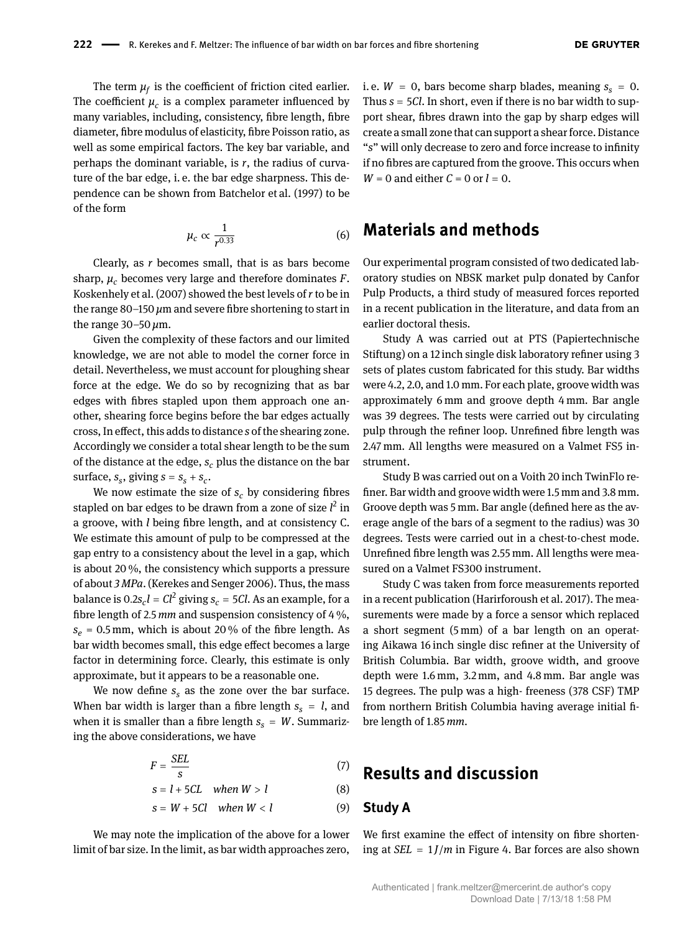The term  $\mu_f$  is the coefficient of friction cited earlier. The coefficient  $\mu_c$  is a complex parameter influenced by many variables, including, consistency, fibre length, fibre diameter, fibre modulus of elasticity, fibre Poisson ratio, as well as some empirical factors. The key bar variable, and perhaps the dominant variable, is *r*, the radius of curvature of the bar edge, i. e. the bar edge sharpness. This dependence can be shown from Batchelor et al. [\(1997\)](#page-5-14) to be of the form

$$
\mu_c \propto \frac{1}{r^{0.33}}\tag{6}
$$

Clearly, as *r* becomes small, that is as bars become sharp,  $\mu_c$  becomes very large and therefore dominates  $F$ . Koskenhely et al. [\(2007\)](#page-5-15) showed the best levels of *r* to be in the range 80–150 *μ*m and severe fibre shortening to start in the range 30–50 *μ*m.

Given the complexity of these factors and our limited knowledge, we are not able to model the corner force in detail. Nevertheless, we must account for ploughing shear force at the edge. We do so by recognizing that as bar edges with fibres stapled upon them approach one another, shearing force begins before the bar edges actually cross, In effect, this adds to distance *s* of the shearing zone. Accordingly we consider a total shear length to be the sum of the distance at the edge, *s<sup>c</sup>* plus the distance on the bar surface,  $s_s$ , giving  $s = s_s + s_c$ .

We now estimate the size of  $s_c$  by considering fibres stapled on bar edges to be drawn from a zone of size *l<sup>2</sup>* in a groove, with *l* being fibre length, and at consistency C. We estimate this amount of pulp to be compressed at the gap entry to a consistency about the level in a gap, which is about 20 %, the consistency which supports a pressure of about *3 MPa*. (Kerekes and Senger [2006\)](#page-5-5). Thus, the mass balance is  $0.2s_c l = Cl^2$  giving  $s_c = 5Cl$ . As an example, for a fibre length of 2.5 *mm* and suspension consistency of 4 %,  $s_e = 0.5$  mm, which is about 20% of the fibre length. As bar width becomes small, this edge effect becomes a large factor in determining force. Clearly, this estimate is only approximate, but it appears to be a reasonable one.

We now define  $s<sub>s</sub>$  as the zone over the bar surface. When bar width is larger than a fibre length  $s<sub>s</sub> = l$ , and when it is smaller than a fibre length  $s<sub>s</sub> = W$ . Summarizing the above considerations, we have

$$
F = \frac{SEL}{s} \tag{7}
$$

$$
s = l + 5CL \quad when \ W > l \tag{8}
$$

$$
s = W + 5Cl \quad when \ W < l \tag{9}
$$

We may note the implication of the above for a lower limit of bar size. In the limit, as bar width approaches zero,

i. e.  $W = 0$ , bars become sharp blades, meaning  $s_s = 0$ . Thus *s* = 5*Cl*. In short, even if there is no bar width to support shear, fibres drawn into the gap by sharp edges will create a small zone that can support a shear force. Distance "*s*" will only decrease to zero and force increase to infinity if no fibres are captured from the groove. This occurs when  $W = 0$  and either  $C = 0$  or  $l = 0$ .

### **Materials and methods**

Our experimental program consisted of two dedicated laboratory studies on NBSK market pulp donated by Canfor Pulp Products, a third study of measured forces reported in a recent publication in the literature, and data from an earlier doctoral thesis.

Study A was carried out at PTS (Papiertechnische Stiftung) on a 12 inch single disk laboratory refiner using 3 sets of plates custom fabricated for this study. Bar widths were 4.2, 2.0, and 1.0 mm. For each plate, groove width was approximately 6 mm and groove depth 4 mm. Bar angle was 39 degrees. The tests were carried out by circulating pulp through the refiner loop. Unrefined fibre length was 2.47 mm. All lengths were measured on a Valmet FS5 instrument.

Study B was carried out on a Voith 20 inch TwinFlo refiner. Bar width and groove width were 1.5 mm and 3.8 mm. Groove depth was 5 mm. Bar angle (defined here as the average angle of the bars of a segment to the radius) was 30 degrees. Tests were carried out in a chest-to-chest mode. Unrefined fibre length was 2.55 mm. All lengths were measured on a Valmet FS300 instrument.

Study C was taken from force measurements reported in a recent publication (Harirforoush et al. [2017\)](#page-5-16). The measurements were made by a force a sensor which replaced a short segment (5 mm) of a bar length on an operating Aikawa 16 inch single disc refiner at the University of British Columbia. Bar width, groove width, and groove depth were 1.6 mm, 3.2 mm, and 4.8 mm. Bar angle was 15 degrees. The pulp was a high- freeness (378 CSF) TMP from northern British Columbia having average initial fibre length of 1.85 *mm*.

# **Results and discussion**

#### **Study A**

We first examine the effect of intensity on fibre shortening at  $SEL = 1$ *J/m* in Figure [4.](#page-3-0) Bar forces are also shown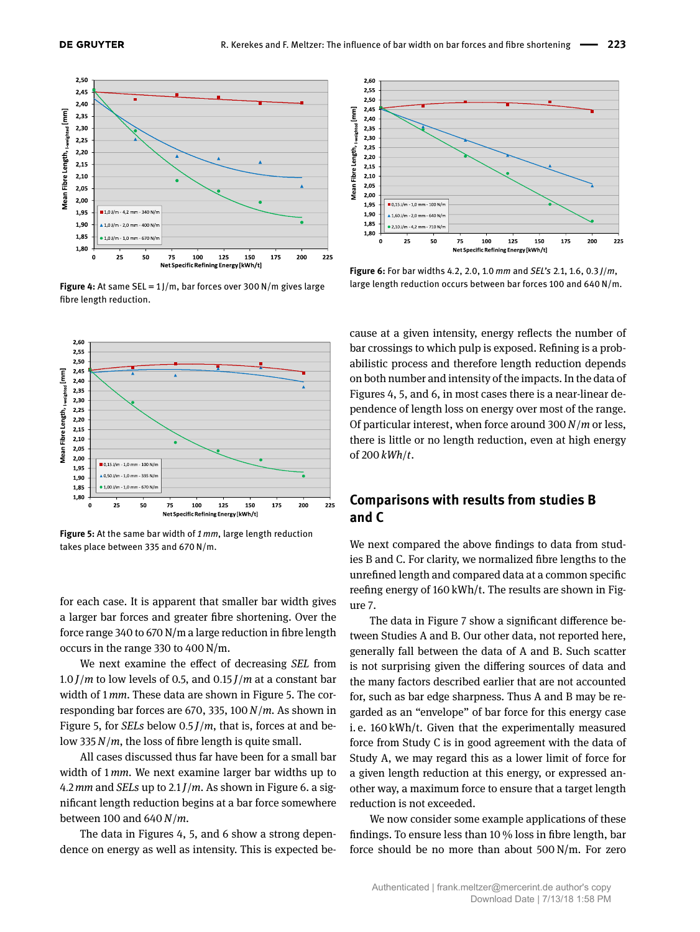<span id="page-3-0"></span>

**Figure 4:** At same SEL = 1 J/m, bar forces over 300 N/m gives large fibre length reduction.

<span id="page-3-1"></span>

**Figure 5:** At the same bar width of *1 mm*, large length reduction takes place between 335 and 670 N/m.

for each case. It is apparent that smaller bar width gives a larger bar forces and greater fibre shortening. Over the force range 340 to 670 N/m a large reduction in fibre length occurs in the range 330 to 400 N/m.

We next examine the effect of decreasing *SEL* from  $1.0$  *J*/*m* to low levels of 0.5, and 0.15 *J*/*m* at a constant bar width of 1 *mm*. These data are shown in Figure [5.](#page-3-1) The corresponding bar forces are 670, 335, 100*N*/*m*. As shown in Figure [5,](#page-3-1) for *SELs* below 0.5 *J*/*m*, that is, forces at and below 335*N*/*m*, the loss of fibre length is quite small.

All cases discussed thus far have been for a small bar width of 1 *mm*. We next examine larger bar widths up to 4.2 *mm* and *SELs* up to 2.1 *J*/*m*. As shown in Figure [6.](#page-3-2) a significant length reduction begins at a bar force somewhere between 100 and 640*N*/*m*.

The data in Figures [4,](#page-3-0) [5,](#page-3-1) and [6](#page-3-2) show a strong dependence on energy as well as intensity. This is expected be-

<span id="page-3-2"></span>

**Figure 6:** For bar widths 4.2, 2.0, 1.0 *mm* and *SEL's* 2.1, 1.6, 0.3 *J*/*m*, large length reduction occurs between bar forces 100 and 640 N/m.

cause at a given intensity, energy reflects the number of bar crossings to which pulp is exposed. Refining is a probabilistic process and therefore length reduction depends on both number and intensity of the impacts. In the data of Figures [4,](#page-3-0) [5,](#page-3-1) and [6,](#page-3-2) in most cases there is a near-linear dependence of length loss on energy over most of the range. Of particular interest, when force around 300*N*/*m* or less, there is little or no length reduction, even at high energy of 200 *kWh*/*t*.

### **Comparisons with results from studies B and C**

We next compared the above findings to data from studies B and C. For clarity, we normalized fibre lengths to the unrefined length and compared data at a common specific reefing energy of 160 kWh/t. The results are shown in Figure [7.](#page-4-0)

The data in Figure [7](#page-4-0) show a significant difference between Studies A and B. Our other data, not reported here, generally fall between the data of A and B. Such scatter is not surprising given the differing sources of data and the many factors described earlier that are not accounted for, such as bar edge sharpness. Thus A and B may be regarded as an "envelope" of bar force for this energy case i. e. 160 kWh/t. Given that the experimentally measured force from Study C is in good agreement with the data of Study A, we may regard this as a lower limit of force for a given length reduction at this energy, or expressed another way, a maximum force to ensure that a target length reduction is not exceeded.

We now consider some example applications of these findings. To ensure less than 10 % loss in fibre length, bar force should be no more than about 500 N/m. For zero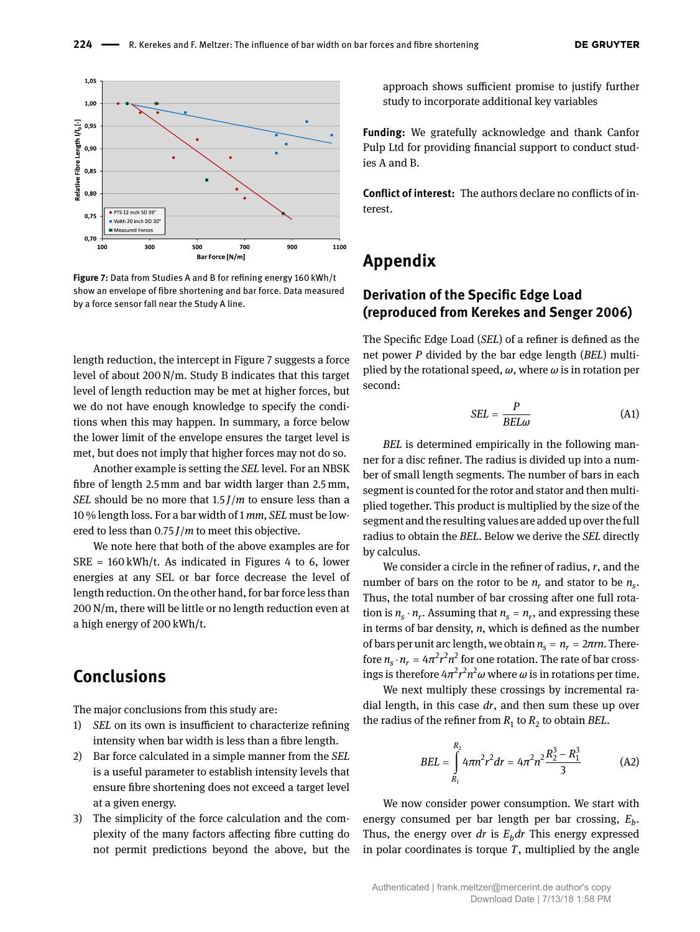<span id="page-4-0"></span>

**Figure 7:** Data from Studies A and B for refining energy 160 kWh/t show an envelope of fibre shortening and bar force. Data measured by a force sensor fall near the Study A line.

length reduction, the intercept in Figure [7](#page-4-0) suggests a force level of about 200 N/m. Study B indicates that this target level of length reduction may be met at higher forces, but we do not have enough knowledge to specify the conditions when this may happen. In summary, a force below the lower limit of the envelope ensures the target level is met, but does not imply that higher forces may not do so.

Another example is setting the *SEL* level. For an NBSK fibre of length 2.5 mm and bar width larger than 2.5 mm, *SEL* should be no more that 1.5 *J*/*m* to ensure less than a 10 % length loss. For a bar width of 1 *mm*, *SEL* must be lowered to less than 0.75 *J*/*m* to meet this objective.

We note here that both of the above examples are for  $SRE = 160 \text{ kWh/t}$ . As indicated in Figures [4](#page-3-0) to [6,](#page-3-2) lower energies at any SEL or bar force decrease the level of length reduction. On the other hand, for bar force less than 200 N/m, there will be little or no length reduction even at a high energy of 200 kWh/t.

# **Conclusions**

The major conclusions from this study are:

- 1) *SEL* on its own is insufficient to characterize refining intensity when bar width is less than a fibre length.
- 2) Bar force calculated in a simple manner from the *SEL* is a useful parameter to establish intensity levels that ensure fibre shortening does not exceed a target level at a given energy.
- 3) The simplicity of the force calculation and the complexity of the many factors affecting fibre cutting do not permit predictions beyond the above, but the

approach shows sufficient promise to justify further study to incorporate additional key variables

**Funding:** We gratefully acknowledge and thank Canfor Pulp Ltd for providing financial support to conduct studies A and B.

**Conflict of interest:** The authors declare no conflicts of interest.

# **Appendix**

### **Derivation of the Specific Edge Load (reproduced from Kerekes and Senger [2006\)](#page-5-5)**

The Specific Edge Load (*SEL*) of a refiner is defined as the net power *P* divided by the bar edge length (*BEL*) multiplied by the rotational speed, *ω*, where *ω* is in rotation per second:

<span id="page-4-1"></span>
$$
SEL = \frac{P}{BEL\omega} \tag{A1}
$$

*BEL* is determined empirically in the following manner for a disc refiner. The radius is divided up into a number of small length segments. The number of bars in each segment is counted for the rotor and stator and then multiplied together. This product is multiplied by the size of the segment and the resulting values are added up over the full radius to obtain the *BEL*. Below we derive the *SEL* directly by calculus.

We consider a circle in the refiner of radius, *r*, and the number of bars on the rotor to be  $n_r$  and stator to be  $n_s$ . Thus, the total number of bar crossing after one full rotation is  $n_s \cdot n_r$ . Assuming that  $n_s = n_r$ , and expressing these in terms of bar density, *n*, which is defined as the number of bars per unit arc length, we obtain  $n_s = n_r = 2\pi r n$ . Therefore  $n_s \cdot n_r = 4\pi^2 r^2 n^2$  for one rotation. The rate of bar crossings is therefore 4 $\pi^2 r^2 n^2 \omega$  where  $\omega$  is in rotations per time.

We next multiply these crossings by incremental radial length, in this case *dr*, and then sum these up over the radius of the refiner from  $R_1$  to  $R_2$  to obtain *BEL*.

$$
BEL = \int_{R_1}^{R_2} 4\pi n^2 r^2 dr = 4\pi^2 n^2 \frac{R_2^3 - R_1^3}{3}
$$
 (A2)

We now consider power consumption. We start with energy consumed per bar length per bar crossing, *E<sup>b</sup>* . Thus, the energy over *dr* is  $E<sub>b</sub> dr$  This energy expressed in polar coordinates is torque *T*, multiplied by the angle